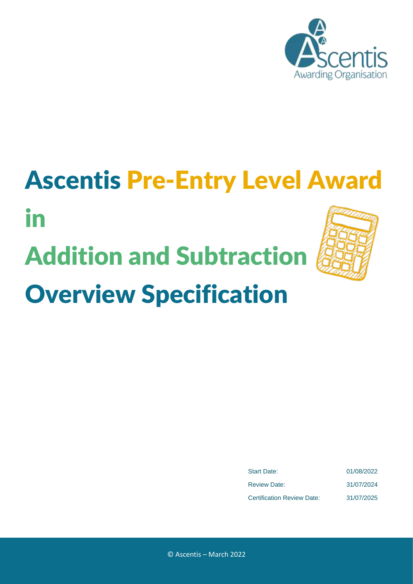

## Ascentis Pre-Entry Level Award

# Addition and Subtraction



Overview Specification

in

| <b>Start Date:</b>                | 01/08/2022 |
|-----------------------------------|------------|
| <b>Review Date:</b>               | 31/07/2024 |
| <b>Certification Review Date:</b> | 31/07/2025 |

© Ascentis – March 2022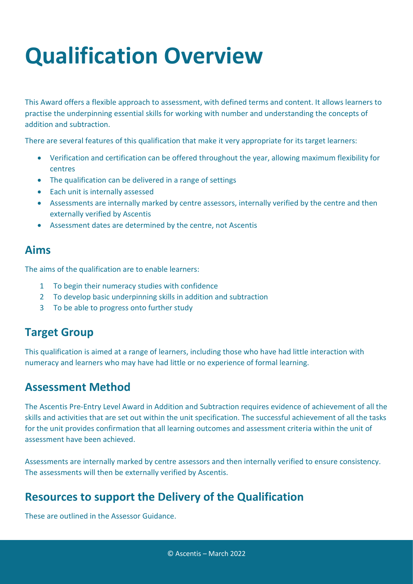### **Qualification Overview**

This Award offers a flexible approach to assessment, with defined terms and content. It allows learners to practise the underpinning essential skills for working with number and understanding the concepts of addition and subtraction.

There are several features of this qualification that make it very appropriate for its target learners:

- Verification and certification can be offered throughout the year, allowing maximum flexibility for centres
- The qualification can be delivered in a range of settings
- Each unit is internally assessed
- Assessments are internally marked by centre assessors, internally verified by the centre and then externally verified by Ascentis
- Assessment dates are determined by the centre, not Ascentis

#### **Aims**

The aims of the qualification are to enable learners:

- 1 To begin their numeracy studies with confidence
- 2 To develop basic underpinning skills in addition and subtraction
- 3 To be able to progress onto further study

#### **Target Group**

This qualification is aimed at a range of learners, including those who have had little interaction with numeracy and learners who may have had little or no experience of formal learning.

#### **Assessment Method**

The Ascentis Pre-Entry Level Award in Addition and Subtraction requires evidence of achievement of all the skills and activities that are set out within the unit specification. The successful achievement of all the tasks for the unit provides confirmation that all learning outcomes and assessment criteria within the unit of assessment have been achieved.

Assessments are internally marked by centre assessors and then internally verified to ensure consistency. The assessments will then be externally verified by Ascentis.

#### **Resources to support the Delivery of the Qualification**

These are outlined in the Assessor Guidance.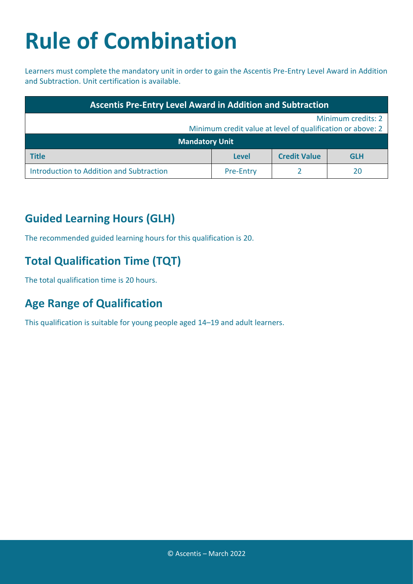### **Rule of Combination**

Learners must complete the mandatory unit in order to gain the Ascentis Pre-Entry Level Award in Addition and Subtraction. Unit certification is available.

| <b>Ascentis Pre-Entry Level Award in Addition and Subtraction</b> |                  |                     |            |
|-------------------------------------------------------------------|------------------|---------------------|------------|
| Minimum credits: 2                                                |                  |                     |            |
| Minimum credit value at level of qualification or above: 2        |                  |                     |            |
| <b>Mandatory Unit</b>                                             |                  |                     |            |
| <b>Title</b>                                                      | <b>Level</b>     | <b>Credit Value</b> | <b>GLH</b> |
| Introduction to Addition and Subtraction                          | <b>Pre-Entry</b> |                     | 20         |

#### **Guided Learning Hours (GLH)**

The recommended guided learning hours for this qualification is 20.

#### **Total Qualification Time (TQT)**

The total qualification time is 20 hours.

#### **Age Range of Qualification**

This qualification is suitable for young people aged 14–19 and adult learners.